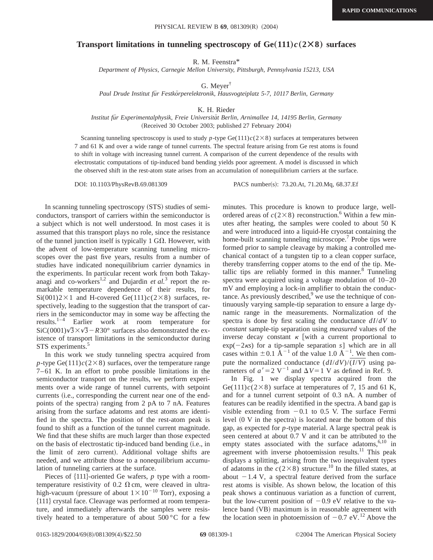## **Transport limitations in tunneling spectroscopy of Ge** $(111)c(2\times8)$  **surfaces**

R. M. Feenstra\*

*Department of Physics, Carnegie Mellon University, Pittsburgh, Pennsylvania 15213, USA*

G. Meyer†

*Paul Drude Institut fu¨r Festko¨rperelektronik, Hausvogteiplatz 5-7, 10117 Berlin, Germany*

K. H. Rieder

*Institut fu¨r Experimentalphysik, Freie Universita¨t Berlin, Arnimallee 14, 14195 Berlin, Germany* (Received 30 October 2003; published 27 February 2004)

Scanning tunneling spectroscopy is used to study *p*-type Ge(111) $c(2\times8)$  surfaces at temperatures between 7 and 61 K and over a wide range of tunnel currents. The spectral feature arising from Ge rest atoms is found to shift in voltage with increasing tunnel current. A comparison of the current dependence of the results with electrostatic computations of tip-induced band bending yields poor agreement. A model is discussed in which the observed shift in the rest-atom state arises from an accumulation of nonequilibrium carriers at the surface.

DOI: 10.1103/PhysRevB.69.081309 PACS number(s): 73.20.At, 71.20.Mq, 68.37.Ef

In scanning tunneling spectroscopy (STS) studies of semiconductors, transport of carriers within the semiconductor is a subject which is not well understood. In most cases it is assumed that this transport plays no role, since the resistance of the tunnel junction itself is typically 1  $G\Omega$ . However, with the advent of low-temperature scanning tunneling microscopes over the past five years, results from a number of studies have indicated nonequilibrium carrier dynamics in the experiments. In particular recent work from both Takayanagi and co-workers<sup>1,2</sup> and Dujardin *et al.*<sup>3</sup> report the remarkable temperature dependence of their results, for  $Si(001)2\times1$  and H-covered Ge(111) $c(2\times8)$  surfaces, respectively, leading to the suggestion that the transport of carriers in the semiconductor may in some way be affecting the results.1–4 Earlier work at room temperature for  $SiC(0001)\sqrt{3}\times\sqrt{3}-R30^{\circ}$  surfaces also demonstrated the existence of transport limitations in the semiconductor during STS experiments.<sup>5</sup>

In this work we study tunneling spectra acquired from *p*-type Ge(111) $c(2\times8)$  surfaces, over the temperature range 7–61 K. In an effort to probe possible limitations in the semiconductor transport on the results, we perform experiments over a wide range of tunnel currents, with setpoint currents (i.e., corresponding the current near one of the endpoints of the spectra) ranging from  $2$  pA to  $7$  nA. Features arising from the surface adatoms and rest atoms are identified in the spectra. The position of the rest-atom peak is found to shift as a function of the tunnel current magnitude. We find that these shifts are much larger than those expected on the basis of electrostatic tip-induced band bending (i.e., in the limit of zero current). Additional voltage shifts are needed, and we attribute those to a nonequilibrium accumulation of tunneling carriers at the surface.

Pieces of  $\{111\}$ -oriented Ge wafers,  $p$  type with a roomtemperature resistivity of 0.2  $\Omega$  cm, were cleaved in ultrahigh-vacuum (pressure of about  $1\times10^{-10}$  Torr), exposing a \$111% crystal face. Cleavage was performed at room temperature, and immediately afterwards the samples were resistively heated to a temperature of about 500 °C for a few minutes. This procedure is known to produce large, wellordered areas of  $c(2\times8)$  reconstruction.<sup>6</sup> Within a few minutes after heating, the samples were cooled to about 50 K and were introduced into a liquid-He cryostat containing the home-built scanning tunneling microscope.<sup>7</sup> Probe tips were formed prior to sample cleavage by making a controlled mechanical contact of a tungsten tip to a clean copper surface, thereby transferring copper atoms to the end of the tip. Metallic tips are reliably formed in this manner. $8$  Tunneling spectra were acquired using a voltage modulation of 10–20 mV and employing a lock-in amplifier to obtain the conductance. As previously described, $9$  we use the technique of continuously varying sample-tip separation to ensure a large dynamic range in the measurements. Normalization of the spectra is done by first scaling the conductance *dI*/*dV* to *constant* sample-tip separation using *measured* values of the inverse decay constant  $\kappa$  [with a current proportional to  $\exp(-2\kappa s)$  for a tip-sample separation *s* which are in all cases within  $\pm 0.1$   $\rm \AA^{-1}$  of the value 1.0  $\rm \AA^{-1}$ . We then compute the normalized conductance  $\left(\frac{dI}{dV}\right)$ / $\left(\frac{I}{V}\right)$  using parameters of  $a' = 2$  V<sup>-1</sup> and  $\Delta V = 1$  V as defined in Ref. 9.

In Fig. 1 we display spectra acquired from the Ge(111) $c$ (2×8) surface at temperatures of 7, 15 and 61 K, and for a tunnel current setpoint of 0.3 nA. A number of features can be readily identified in the spectra. A band gap is visible extending from  $-0.1$  to 0.5 V. The surface Fermi level  $(0 \nabla)$  in the spectra) is located near the bottom of this gap, as expected for *p*-type material. A large spectral peak is seen centered at about 0.7 V and it can be attributed to the empty states associated with the surface adatoms, $6,10$  in agreement with inverse photoemission results. $^{11}$  This peak displays a splitting, arising from the two inequivalent types of adatoms in the  $c(2\times8)$  structure.<sup>10</sup> In the filled states, at about  $-1.4$  V, a spectral feature derived from the surface rest atoms is visible. As shown below, the location of this peak shows a continuous variation as a function of current, but the low-current position of  $-0.9$  eV relative to the valence band (VB) maximum is in reasonable agreement with the location seen in photoemission of  $-0.7$  eV.<sup>12</sup> Above the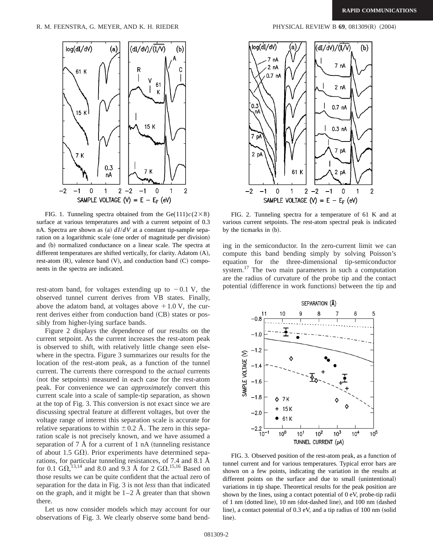

FIG. 1. Tunneling spectra obtained from the Ge(111) $c(2\times8)$ surface at various temperatures and with a current setpoint of 0.3 nA. Spectra are shown as (a)  $dI/dV$  at a constant tip-sample separation on a logarithmic scale (one order of magnitude per division) and (b) normalized conductance on a linear scale. The spectra at different temperatures are shifted vertically, for clarity. Adatom  $(A)$ , rest-atom  $(R)$ , valence band  $(V)$ , and conduction band  $(C)$  components in the spectra are indicated.

rest-atom band, for voltages extending up to  $-0.1$  V, the observed tunnel current derives from VB states. Finally, above the adatom band, at voltages above  $+1.0$  V, the current derives either from conduction band (CB) states or possibly from higher-lying surface bands.

Figure 2 displays the dependence of our results on the current setpoint. As the current increases the rest-atom peak is observed to shift, with relatively little change seen elsewhere in the spectra. Figure 3 summarizes our results for the location of the rest-atom peak, as a function of the tunnel current. The currents there correspond to the *actual* currents (not the setpoints) measured in each case for the rest-atom peak. For convenience we can *approximately* convert this current scale into a scale of sample-tip separation, as shown at the top of Fig. 3. This conversion is not exact since we are discussing spectral feature at different voltages, but over the voltage range of interest this separation scale is accurate for relative separations to within  $\pm$  0.2 Å. The zero in this separation scale is not precisely known, and we have assumed a separation of  $7 \text{ Å}$  for a current of  $1 \text{ nA}$  (tunneling resistance of about 1.5 G $\Omega$ ). Prior experiments have determined separations, for particular tunneling resistances, of 7.4 and 8.1 Å for 0.1  $\text{G}\Omega$ ,  $^{13,14}$  and 8.0 and 9.3 Å for 2  $\text{G}\Omega$ .  $^{15,16}$  Based on those results we can be quite confident that the actual zero of separation for the data in Fig. 3 is not *less* than that indicated on the graph, and it might be  $1-2$  Å greater than that shown there.

Let us now consider models which may account for our observations of Fig. 3. We clearly observe some band bend-



FIG. 2. Tunneling spectra for a temperature of 61 K and at various current setpoints. The rest-atom spectral peak is indicated by the ticmarks in (b).

ing in the semiconductor. In the zero-current limit we can compute this band bending simply by solving Poisson's equation for the three-dimensional tip-semiconductor system.<sup>17</sup> The two main parameters in such a computation are the radius of curvature of the probe tip and the contact potential (difference in work functions) between the tip and



FIG. 3. Observed position of the rest-atom peak, as a function of tunnel current and for various temperatures. Typical error bars are shown on a few points, indicating the variation in the results at different points on the surface and due to small (unintentional) variations in tip shape. Theoretical results for the peak position are shown by the lines, using a contact potential of 0 eV, probe-tip radii of 1 nm (dotted line),  $10$  nm (dot-dashed line), and  $100$  nm (dashed line), a contact potential of  $0.3$  eV, and a tip radius of  $100$  nm (solid line).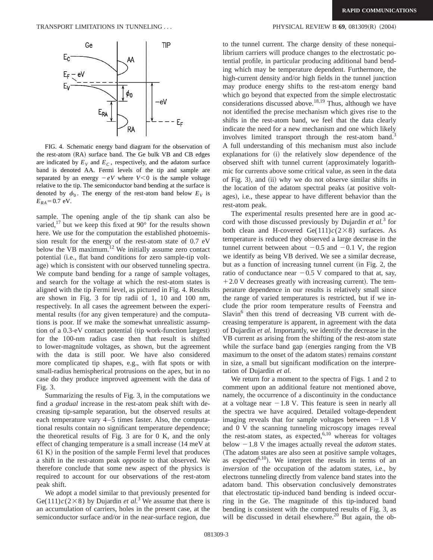

FIG. 4. Schematic energy band diagram for the observation of the rest-atom (RA) surface band. The Ge bulk VB and CB edges are indicated by  $E_V$  and  $E_C$ , respectively, and the adatom surface band is denoted AA. Fermi levels of the tip and sample are separated by an energy  $-eV$  where  $V < 0$  is the sample voltage relative to the tip. The semiconductor band bending at the surface is denoted by  $\phi_0$ . The energy of the rest-atom band below  $E_V$  is  $E_{RA}$ =0.7 eV.

sample. The opening angle of the tip shank can also be varied,<sup>17</sup> but we keep this fixed at 90° for the results shown here. We use for the computation the established photoemission result for the energy of the rest-atom state of 0.7 eV below the VB maximum.<sup>12</sup> We initially assume zero contact potential (i.e., flat band conditions for zero sample-tip voltage) which is consistent with our observed tunneling spectra. We compute band bending for a range of sample voltages, and search for the voltage at which the rest-atom states is aligned with the tip Fermi level, as pictured in Fig. 4. Results are shown in Fig. 3 for tip radii of 1, 10 and 100 nm, respectively. In all cases the agreement between the experimental results (for any given temperature) and the computations is poor. If we make the somewhat unrealistic assumption of a  $0.3$ -eV contact potential (tip work-function largest) for the 100-nm radius case then that result is shifted to lower-magnitude voltages, as shown, but the agreement with the data is still poor. We have also considered more complicated tip shapes, e.g., with flat spots or with small-radius hemispherical protrusions on the apex, but in no case do they produce improved agreement with the data of Fig. 3.

Summarizing the results of Fig. 3, in the computations we find a *gradual* increase in the rest-atom peak shift with decreasing tip-sample separation, but the observed results at each temperature vary 4–5 times faster. Also, the computational results contain no significant temperature dependence; the theoretical results of Fig. 3 are for 0 K, and the only effect of changing temperature is a small increase  $(14 \text{ meV at})$  $61 K$ ) in the position of the sample Fermi level that produces a shift in the rest-atom peak *opposite* to that observed. We therefore conclude that some new aspect of the physics is required to account for our observations of the rest-atom peak shift.

We adopt a model similar to that previously presented for Ge(111) $c$ (2×8) by Dujardin *et al.*<sup>3</sup> We assume that there is an accumulation of carriers, holes in the present case, at the semiconductor surface and/or in the near-surface region, due

to the tunnel current. The charge density of these nonequilibrium carriers will produce changes to the electrostatic potential profile, in particular producing additional band bending which may be temperature dependent. Furthermore, the high-current density and/or high fields in the tunnel junction may produce energy shifts to the rest-atom energy band which go beyond that expected from the simple electrostatic considerations discussed above.<sup>18,19</sup> Thus, although we have not identified the precise mechanism which gives rise to the shifts in the rest-atom band, we feel that the data clearly indicate the need for a new mechanism and one which likely involves limited transport through the rest-atom band.<sup>3</sup> A full understanding of this mechanism must also include explanations for (i) the relatively slow dependence of the observed shift with tunnel current (approximately logarithmic for currents above some critical value, as seen in the data of Fig. 3), and  $(ii)$  why we do not observe similar shifts in the location of the adatom spectral peaks (at positive voltages), i.e., these appear to have different behavior than the rest-atom peak.

The experimental results presented here are in good accord with those discussed previously by Dujardin *et al.*<sup>3</sup> for both clean and H-covered  $Ge(111)c(2\times8)$  surfaces. As temperature is reduced they observed a large decrease in the tunnel current between about  $-0.5$  and  $-0.1$  V, the region we identify as being VB derived. We see a similar decrease, but as a function of increasing tunnel current (in Fig. 2, the ratio of conductance near  $-0.5$  V compared to that at, say,  $+2.0$  V decreases greatly with increasing current). The temperature dependence in our results is relatively small since the range of varied temperatures is restricted, but if we include the prior room temperature results of Feenstra and  $Slavin<sup>6</sup>$  then this trend of decreasing VB current with decreasing temperature is apparent, in agreement with the data of Dujardin *et al.* Importantly, we identify the decrease in the VB current as arising from the shifting of the rest-atom state while the surface band gap (energies ranging from the VB maximum to the onset of the adatom states) remains *constant* in size, a small but significant modification on the interpretation of Dujardin *et al.*

We return for a moment to the spectra of Figs. 1 and 2 to comment upon an additional feature not mentioned above, namely, the occurrence of a discontinuity in the conductance at a voltage near  $-1.8$  V. This feature is seen in nearly all the spectra we have acquired. Detailed voltage-dependent imaging reveals that for sample voltages between  $-1.8$  V and 0 V the scanning tunneling microscopy images reveal the rest-atom states, as expected, $6,10$  whereas for voltages below  $-1.8$  V the images actually reveal the *adatom* states. (The adatom states are also seen at positive sample voltages, as expected<sup>6,10</sup>). We interpret the results in terms of an *inversion* of the occupation of the adatom states, i.e., by electrons tunneling directly from valence band states into the adatom band. This observation conclusively demonstrates that electrostatic tip-induced band bending is indeed occurring in the Ge. The magnitude of this tip-induced band bending is consistent with the computed results of Fig. 3, as will be discussed in detail elsewhere.<sup>20</sup> But again, the ob